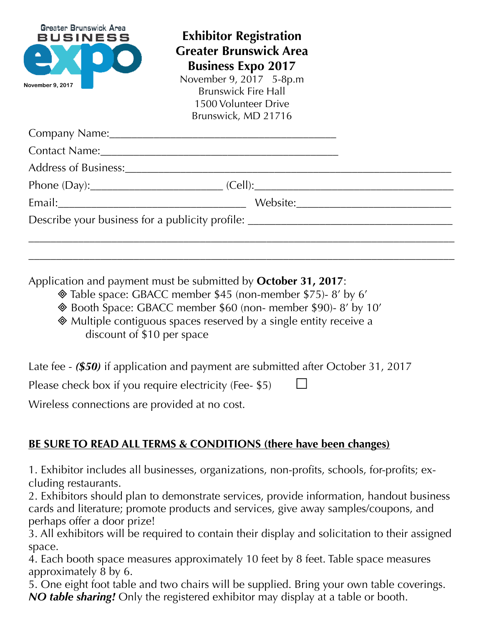| Greater Brunswick Area<br>BUSINESS<br>$\blacksquare$<br>November 9, 2017 | <b>Exhibitor Registration</b><br><b>Greater Brunswick Area</b><br><b>Business Expo 2017</b><br>November 9, 2017 5-8p.m<br><b>Brunswick Fire Hall</b><br>1500 Volunteer Drive<br>Brunswick, MD 21716                            |  |
|--------------------------------------------------------------------------|--------------------------------------------------------------------------------------------------------------------------------------------------------------------------------------------------------------------------------|--|
|                                                                          |                                                                                                                                                                                                                                |  |
|                                                                          |                                                                                                                                                                                                                                |  |
|                                                                          | Address of Business: 2008 and 2008 and 2008 and 2008 and 2008 and 2008 and 2008 and 2008 and 2008 and 2008 and 2008 and 2008 and 2008 and 2008 and 2008 and 2008 and 2008 and 2008 and 2008 and 2008 and 2008 and 2008 and 200 |  |
|                                                                          | Phone (Day):___________________________________(Cell):___________________________                                                                                                                                              |  |
|                                                                          |                                                                                                                                                                                                                                |  |
|                                                                          | Describe your business for a publicity profile: ________________________________                                                                                                                                               |  |

\_\_\_\_\_\_\_\_\_\_\_\_\_\_\_\_\_\_\_\_\_\_\_\_\_\_\_\_\_\_\_\_\_\_\_\_\_\_\_\_\_\_\_\_\_\_\_\_\_\_\_\_\_\_\_\_\_\_\_\_\_\_\_\_\_\_\_\_\_\_\_\_\_\_\_\_\_

Application and payment must be submitted by **October 31, 2017**:

- Table space: GBACC member \$45 (non-member \$75)- 8' by 6'
- Booth Space: GBACC member \$60 (non- member \$90)- 8' by 10'
- Multiple contiguous spaces reserved by a single entity receive a discount of \$10 per space

Late fee - *(\$50)* if application and payment are submitted after October 31, 2017

Please check box if you require electricity (Fee- \$5)

Wireless connections are provided at no cost.

## **BE SURE TO READ ALL TERMS & CONDITIONS (there have been changes)**

1. Exhibitor includes all businesses, organizations, non-profits, schools, for-profits; excluding restaurants.

2. Exhibitors should plan to demonstrate services, provide information, handout business cards and literature; promote products and services, give away samples/coupons, and perhaps offer a door prize!

3. All exhibitors will be required to contain their display and solicitation to their assigned space.

4. Each booth space measures approximately 10 feet by 8 feet. Table space measures approximately 8 by 6.

5. One eight foot table and two chairs will be supplied. Bring your own table coverings. *NO table sharing!* Only the registered exhibitor may display at a table or booth.